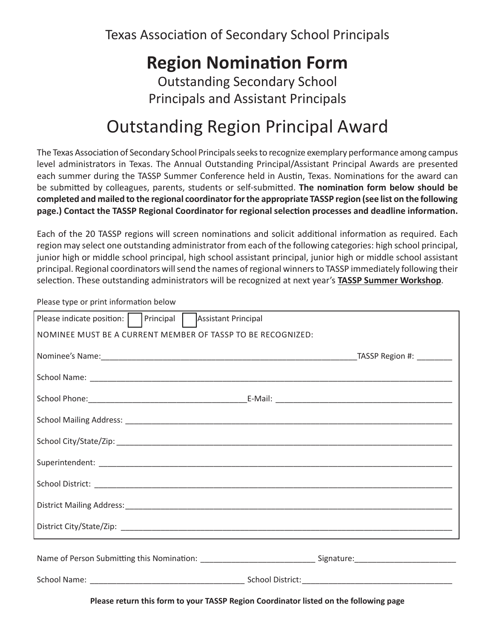Texas Association of Secondary School Principals

# **Region Nomination Form**

Outstanding Secondary School Principals and Assistant Principals

## Outstanding Region Principal Award

The Texas Association of Secondary School Principals seeks to recognize exemplary performance among campus level administrators in Texas. The Annual Outstanding Principal/Assistant Principal Awards are presented each summer during the TASSP Summer Conference held in Austin, Texas. Nominations for the award can be submitted by colleagues, parents, students or self-submitted. **The nomination form below should be completed and mailed to the regional coordinator for the appropriate TASSP region (see list on the following page.) Contact the TASSP Regional Coordinator for regional selection processes and deadline information.** 

Each of the 20 TASSP regions will screen nominations and solicit additional information as required. Each region may select one outstanding administrator from each of the following categories: high school principal, junior high or middle school principal, high school assistant principal, junior high or middle school assistant principal. Regional coordinators will send the names of regional winners to TASSP immediately following their selection. These outstanding administrators will be recognized at next year's **TASSP Summer Workshop**.

Please type or print information below

| Please indicate position:     Principal  <br>Assistant Principal |                           |
|------------------------------------------------------------------|---------------------------|
| NOMINEE MUST BE A CURRENT MEMBER OF TASSP TO BE RECOGNIZED:      |                           |
|                                                                  | TASSP Region #: _________ |
|                                                                  |                           |
|                                                                  |                           |
|                                                                  |                           |
|                                                                  |                           |
|                                                                  |                           |
|                                                                  |                           |
|                                                                  |                           |
|                                                                  |                           |
|                                                                  |                           |
|                                                                  |                           |
|                                                                  |                           |

**Please return this form to your TASSP Region Coordinator listed on the following page**